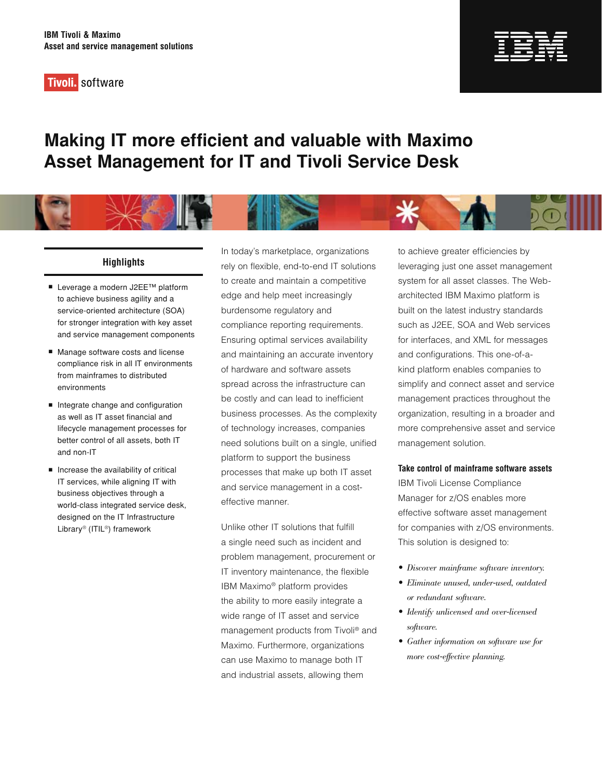**Tivoli**. software



# **Making IT more efficient and valuable with Maximo Asset Management for IT and Tivoli Service Desk**



# **Highlights**

- Leverage a modern J2EE™ platform to achieve business agility and a service-oriented architecture (SOA) for stronger integration with key asset and service management components
- Manage software costs and license compliance risk in all IT environments from mainframes to distributed environments
- Integrate change and configuration as well as IT asset financial and lifecycle management processes for better control of all assets, both IT and non-IT
- $\blacksquare$  Increase the availability of critical IT services, while aligning IT with business objectives through a world-class integrated service desk, designed on the IT Infrastructure Library® (ITIL®) framework

In today's marketplace, organizations rely on flexible, end-to-end IT solutions to create and maintain a competitive edge and help meet increasingly burdensome regulatory and compliance reporting requirements. Ensuring optimal services availability and maintaining an accurate inventory of hardware and software assets spread across the infrastructure can be costly and can lead to inefficient business processes. As the complexity of technology increases, companies need solutions built on a single, unified platform to support the business processes that make up both IT asset and service management in a costeffective manner.

Unlike other IT solutions that fulfill a single need such as incident and problem management, procurement or IT inventory maintenance, the flexible IBM Maximo® platform provides the ability to more easily integrate a wide range of IT asset and service management products from Tivoli® and Maximo. Furthermore, organizations can use Maximo to manage both IT and industrial assets, allowing them

to achieve greater efficiencies by leveraging just one asset management system for all asset classes. The Webarchitected IBM Maximo platform is built on the latest industry standards such as J2EE, SOA and Web services for interfaces, and XML for messages and configurations. This one-of-akind platform enables companies to simplify and connect asset and service management practices throughout the organization, resulting in a broader and more comprehensive asset and service management solution.

## **Take control of mainframe software assets**

IBM Tivoli License Compliance Manager for z/OS enables more effective software asset management for companies with z/OS environments. This solution is designed to:

- Discover mainframe software inventory.
- Eliminate unused, under-used, outdated or redundant software.
- Identify unlicensed and over-licensed software.
- Gather information on software use for more cost-effective planning.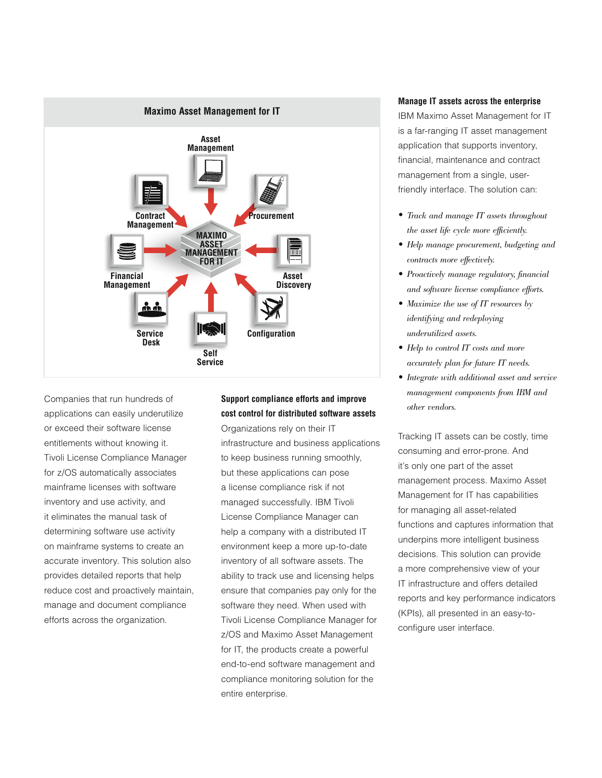

Companies that run hundreds of applications can easily underutilize or exceed their software license entitlements without knowing it. Tivoli License Compliance Manager for z/OS automatically associates mainframe licenses with software inventory and use activity, and it eliminates the manual task of determining software use activity on mainframe systems to create an accurate inventory. This solution also provides detailed reports that help reduce cost and proactively maintain, manage and document compliance efforts across the organization.

# **Support compliance efforts and improve cost control for distributed software assets**

Organizations rely on their IT infrastructure and business applications to keep business running smoothly, but these applications can pose a license compliance risk if not managed successfully. IBM Tivoli License Compliance Manager can help a company with a distributed IT environment keep a more up-to-date inventory of all software assets. The ability to track use and licensing helps ensure that companies pay only for the software they need. When used with Tivoli License Compliance Manager for z/OS and Maximo Asset Management for IT, the products create a powerful end-to-end software management and compliance monitoring solution for the entire enterprise.

#### **Manage IT assets across the enterprise**

IBM Maximo Asset Management for IT is a far-ranging IT asset management application that supports inventory, financial, maintenance and contract management from a single, userfriendly interface. The solution can:

- Track and manage IT assets throughout the asset life cycle more efficiently.
- Help manage procurement, budgeting and contracts more effectively.
- Proactively manage regulatory, financial and software license compliance efforts.
- Maximize the use of IT resources by identifying and redeploying underutilized assets.
- Help to control IT costs and more accurately plan for future IT needs.
- Integrate with additional asset and service management components from IBM and other vendors.

Tracking IT assets can be costly, time consuming and error-prone. And it's only one part of the asset management process. Maximo Asset Management for IT has capabilities for managing all asset-related functions and captures information that underpins more intelligent business decisions. This solution can provide a more comprehensive view of your IT infrastructure and offers detailed reports and key performance indicators (KPIs), all presented in an easy-toconfigure user interface.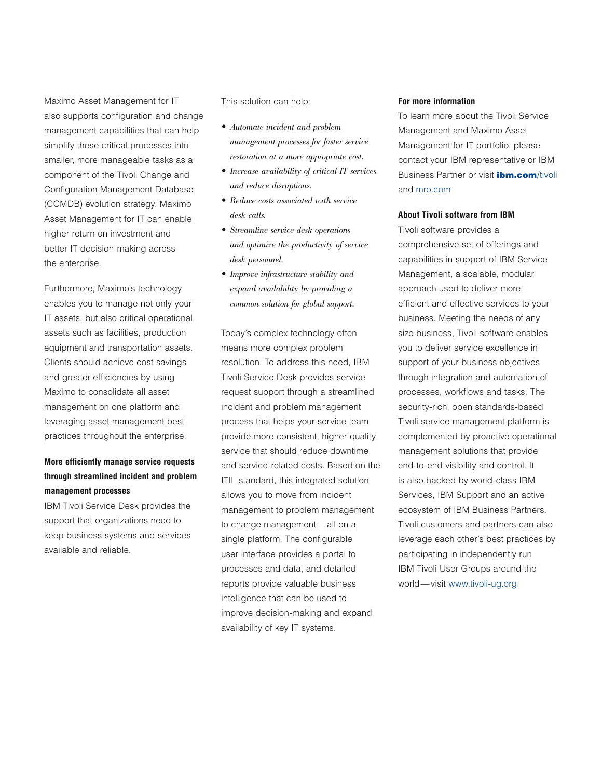Maximo Asset Management for IT also supports configuration and change management capabilities that can help simplify these critical processes into smaller, more manageable tasks as a component of the Tivoli Change and Configuration Management Database (CCMDB) evolution strategy. Maximo Asset Management for IT can enable higher return on investment and better IT decision-making across the enterprise.

Furthermore, Maximo's technology enables you to manage not only your IT assets, but also critical operational assets such as facilities, production equipment and transportation assets. Clients should achieve cost savings and greater efficiencies by using Maximo to consolidate all asset management on one platform and leveraging asset management best practices throughout the enterprise.

# **More efficiently manage service requests through streamlined incident and problem management processes**

IBM Tivoli Service Desk provides the support that organizations need to keep business systems and services available and reliable.

This solution can help:

- Automate incident and problem management processes for faster service restoration at a more appropriate cost.
- Increase availability of critical IT services and reduce disruptions.
- Reduce costs associated with service desk calls.
- Streamline service desk operations and optimize the productivity of service desk personnel.
- Improve infrastructure stability and expand availability by providing a common solution for global support.

Today's complex technology often means more complex problem resolution. To address this need, IBM Tivoli Service Desk provides service request support through a streamlined incident and problem management process that helps your service team provide more consistent, higher quality service that should reduce downtime and service-related costs. Based on the ITIL standard, this integrated solution allows you to move from incident management to problem management to change management—all on a single platform. The configurable user interface provides a portal to processes and data, and detailed reports provide valuable business intelligence that can be used to improve decision-making and expand availability of key IT systems.

#### **For more information**

To learn more about the Tivoli Service Management and Maximo Asset Management for IT portfolio, please contact your IBM representative or IBM Business Partner or visit *[ibm.com](http://www.ibm.com/tivoli)*/tivoli and [mro.com](http://www.mro.com/)

### **About Tivoli software from IBM**

Tivoli software provides a comprehensive set of offerings and capabilities in support of IBM Service Management, a scalable, modular approach used to deliver more efficient and effective services to your business. Meeting the needs of any size business, Tivoli software enables you to deliver service excellence in support of your business objectives through integration and automation of processes, workflows and tasks. The security-rich, open standards-based Tivoli service management platform is complemented by proactive operational management solutions that provide end-to-end visibility and control. It is also backed by world-class IBM Services, IBM Support and an active ecosystem of IBM Business Partners. Tivoli customers and partners can also leverage each other's best practices by participating in independently run IBM Tivoli User Groups around the world—visit [www.tivoli-ug.org](http://www.tivoli-ug.org)